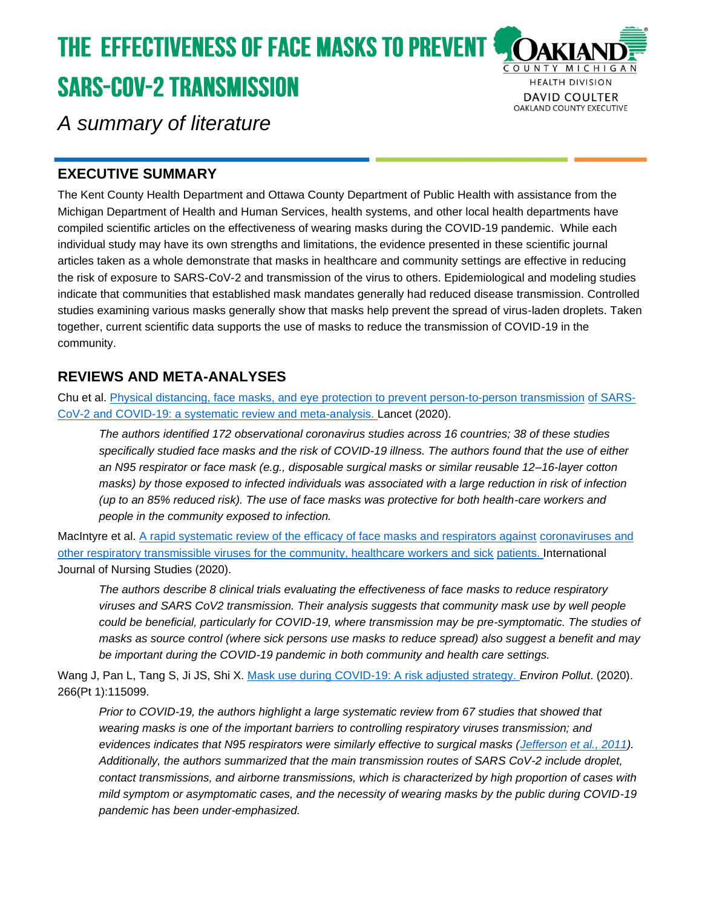# **THE EFFECTIVENESS OF FACE MASKS TO PREVENT { SARS-COV-2 TRANSMISSION**



*A summary of literature*

## **EXECUTIVE SUMMARY**

The Kent County Health Department and Ottawa County Department of Public Health with assistance from the Michigan Department of Health and Human Services, health systems, and other local health departments have compiled scientific articles on the effectiveness of wearing masks during the COVID-19 pandemic. While each individual study may have its own strengths and limitations, the evidence presented in these scientific journal articles taken as a whole demonstrate that masks in healthcare and community settings are effective in reducing the risk of exposure to SARS-CoV-2 and transmission of the virus to others. Epidemiological and modeling studies indicate that communities that established mask mandates generally had reduced disease transmission. Controlled studies examining various masks generally show that masks help prevent the spread of virus-laden droplets. Taken together, current scientific data supports the use of masks to reduce the transmission of COVID-19 in the community.

## **REVIEWS AND META-ANALYSES**

Chu et al. [Physical distancing, face masks, and eye protection to prevent person-to-person transmission](https://doi.org/10.1016/S0140-6736(20)31142-9) [of SARS-](https://doi.org/10.1016/S0140-6736(20)31142-9)[CoV-2 and COVID-19: a systematic review and meta-analysis. L](https://doi.org/10.1016/S0140-6736(20)31142-9)ancet (2020).

*The authors identified 172 observational coronavirus studies across 16 countries; 38 of these studies specifically studied face masks and the risk of COVID-19 illness. The authors found that the use of either an N95 respirator or face mask (e.g., disposable surgical masks or similar reusable 12–16-layer cotton masks) by those exposed to infected individuals was associated with a large reduction in risk of infection (up to an 85% reduced risk). The use of face masks was protective for both health-care workers and people in the community exposed to infection.*

MacIntyre et al. [A rapid systematic review of the efficacy of face masks and respirators against](https://doi.org/10.1016/j.ijnurstu.2020.103629) [coronaviruses and](https://doi.org/10.1016/j.ijnurstu.2020.103629)  other respiratory transmissible [viruses for the community, healthcare workers and sick](https://doi.org/10.1016/j.ijnurstu.2020.103629) [patients. I](https://doi.org/10.1016/j.ijnurstu.2020.103629)nternational Journal of Nursing Studies (2020).

*The authors describe 8 clinical trials evaluating the effectiveness of face masks to reduce respiratory viruses and SARS CoV2 transmission. Their analysis suggests that community mask use by well people could be beneficial, particularly for COVID-19, where transmission may be pre-symptomatic. The studies of masks as source control (where sick persons use masks to reduce spread) also suggest a benefit and may be important during the COVID-19 pandemic in both community and health care settings.*

Wang J, Pan L, Tang S, Ji JS, Shi X. [Mask use during COVID-19: A risk adjusted strategy.](https://www.ncbi.nlm.nih.gov/pmc/articles/PMC7314683/) *Environ Pollut*. (2020). 266(Pt 1):115099.

*Prior to COVID-19, the authors highlight a large systematic review from 67 studies that showed that wearing masks is one of the important barriers to controlling respiratory viruses transmission; and evidences indicates that N95 respirators were similarly effective to surgical masks [\(Jefferson](https://www.ncbi.nlm.nih.gov/pmc/articles/PMC7314683/#bib19) [et al., 2011\)](https://www.ncbi.nlm.nih.gov/pmc/articles/PMC7314683/#bib19). Additionally, the authors summarized that the main transmission routes of SARS CoV-2 include droplet, contact transmissions, and airborne transmissions, which is characterized by high proportion of cases with mild symptom or asymptomatic cases, and the necessity of wearing masks by the public during COVID-19 pandemic has been under-emphasized.*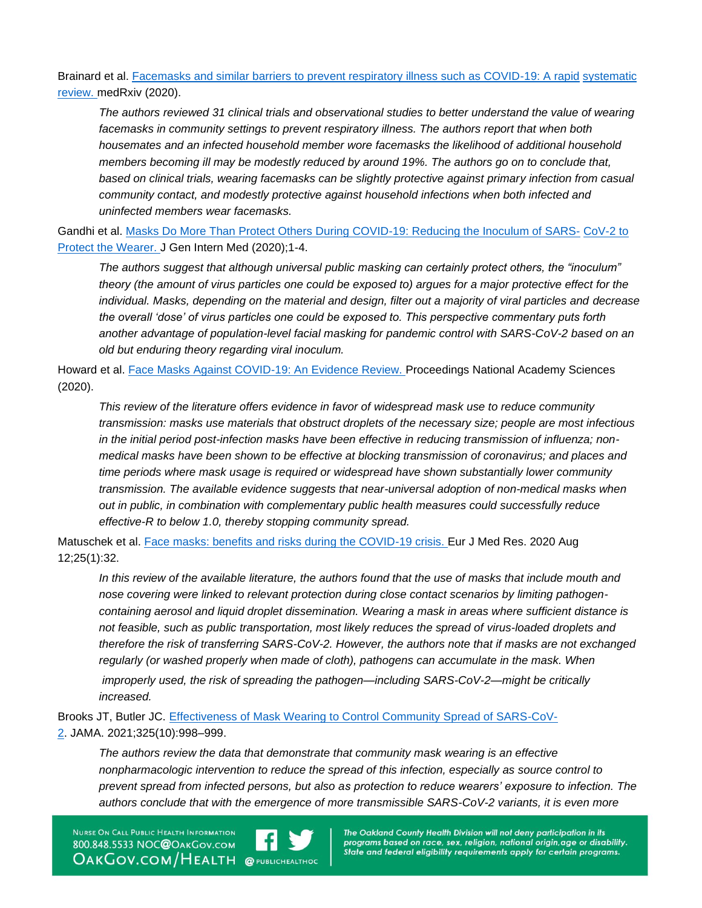Brainard et al. [Facemasks and similar barriers to prevent respiratory illness such as COVID-19: A rapid](https://www.medrxiv.org/content/10.1101/2020.04.01.20049528v1) [systematic](https://www.medrxiv.org/content/10.1101/2020.04.01.20049528v1)  [review. m](https://www.medrxiv.org/content/10.1101/2020.04.01.20049528v1)edRxiv (2020).

*The authors reviewed 31 clinical trials and observational studies to better understand the value of wearing facemasks in community settings to prevent respiratory illness. The authors report that when both housemates and an infected household member wore facemasks the likelihood of additional household members becoming ill may be modestly reduced by around 19%. The authors go on to conclude that, based on clinical trials, wearing facemasks can be slightly protective against primary infection from casual community contact, and modestly protective against household infections when both infected and uninfected members wear facemasks.*

Gandhi et al. [Masks Do More Than Protect Others During COVID-19: Reducing the Inoculum of SARS-](https://www.ncbi.nlm.nih.gov/pmc/articles/PMC7393808/) [CoV-2 to](https://www.ncbi.nlm.nih.gov/pmc/articles/PMC7393808/)  [Protect the Wearer. J](https://www.ncbi.nlm.nih.gov/pmc/articles/PMC7393808/) Gen Intern Med (2020);1-4.

*The authors suggest that although universal public masking can certainly protect others, the "inoculum" theory (the amount of virus particles one could be exposed to) argues for a major protective effect for the individual. Masks, depending on the material and design, filter out a majority of viral particles and decrease the overall 'dose' of virus particles one could be exposed to. This perspective commentary puts forth another advantage of population-level facial masking for pandemic control with SARS-CoV-2 based on an old but enduring theory regarding viral inoculum.*

Howard et al. [Face Masks Against COVID-19: An Evidence Review. P](https://files.fast.ai/papers/masks_lit_review.pdf)roceedings National Academy Sciences (2020).

*This review of the literature offers evidence in favor of widespread mask use to reduce community transmission: masks use materials that obstruct droplets of the necessary size; people are most infectious in the initial period post-infection masks have been effective in reducing transmission of influenza; nonmedical masks have been shown to be effective at blocking transmission of coronavirus; and places and time periods where mask usage is required or widespread have shown substantially lower community transmission. The available evidence suggests that near-universal adoption of non-medical masks when out in public, in combination with complementary public health measures could successfully reduce effective-R to below 1.0, thereby stopping community spread.*

Matuschek et al. [Face masks: benefits and risks during the COVID-19 crisis. E](https://www.ncbi.nlm.nih.gov/pmc/articles/PMC7422455/)ur J Med Res. 2020 Aug 12;25(1):32.

*In this review of the available literature, the authors found that the use of masks that include mouth and nose covering were linked to relevant protection during close contact scenarios by limiting pathogencontaining aerosol and liquid droplet dissemination. Wearing a mask in areas where sufficient distance is not feasible, such as public transportation, most likely reduces the spread of virus-loaded droplets and therefore the risk of transferring SARS-CoV-2. However, the authors note that if masks are not exchanged regularly (or washed properly when made of cloth), pathogens can accumulate in the mask. When improperly used, the risk of spreading the pathogen—including SARS-CoV-2—might be critically increased.*

Brooks JT, Butler JC. [Effectiveness of Mask Wearing to Control Community Spread of SARS-CoV-](https://jamanetwork.com/journals/jama/fullarticle/2776536)[2.](https://jamanetwork.com/journals/jama/fullarticle/2776536) JAMA. 2021;325(10):998–999.

*The authors review the data that demonstrate that community mask wearing is an effective nonpharmacologic intervention to reduce the spread of this infection, especially as source control to prevent spread from infected persons, but also as protection to reduce wearers' exposure to infection. The authors conclude that with the emergence of more transmissible SARS-CoV-2 variants, it is even more* 

NURSE ON CALL PUBLIC HEALTH INFORMATION 800.848.5533 NOC@OAKGOV.COM **OAKGOV.COM/HEALTH @PUBLICHEALTHOC** 

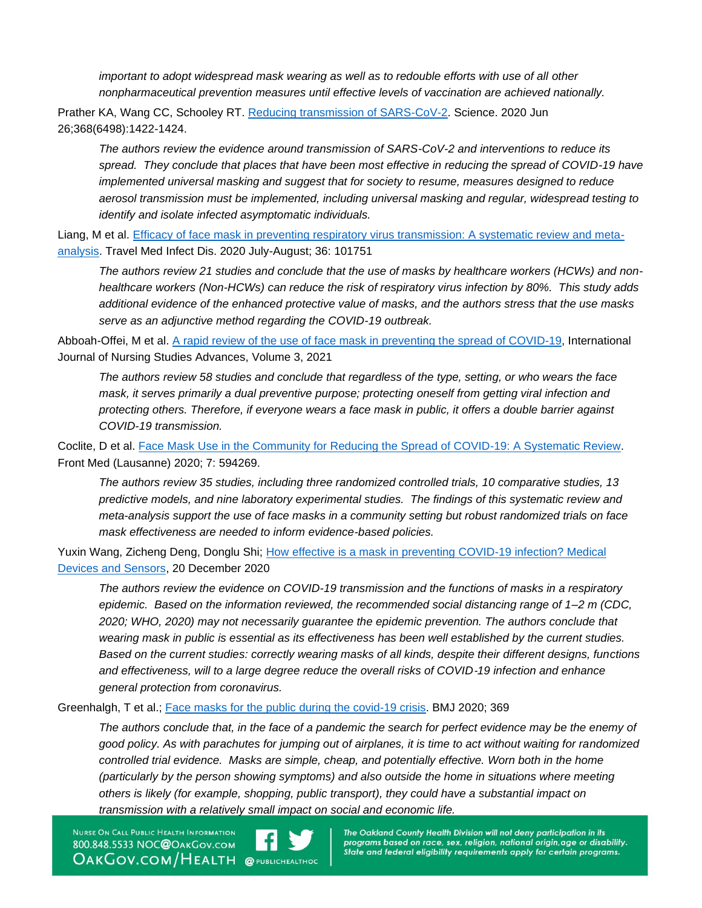*important to adopt widespread mask wearing as well as to redouble efforts with use of all other nonpharmaceutical prevention measures until effective levels of vaccination are achieved nationally.*

Prather KA, Wang CC, Schooley RT. [Reducing transmission of SARS-CoV-2.](https://science.sciencemag.org/content/368/6498/1422) Science. 2020 Jun 26;368(6498):1422-1424.

*The authors review the evidence around transmission of SARS-CoV-2 and interventions to reduce its spread. They conclude that places that have been most effective in reducing the spread of COVID-19 have implemented universal masking and suggest that for society to resume, measures designed to reduce aerosol transmission must be implemented, including universal masking and regular, widespread testing to identify and isolate infected asymptomatic individuals.*

Liang, M et al. [Efficacy of face mask in preventing respiratory virus transmission: A systematic review and meta](https://www.ncbi.nlm.nih.gov/pmc/articles/PMC7253999/)[analysis.](https://www.ncbi.nlm.nih.gov/pmc/articles/PMC7253999/) Travel Med Infect Dis. 2020 July-August; 36: 101751

*The authors review 21 studies and conclude that the use of masks by healthcare workers (HCWs) and nonhealthcare workers (Non-HCWs) can reduce the risk of respiratory virus infection by 80%. This study adds additional evidence of the enhanced protective value of masks, and the authors stress that the use masks serve as an adjunctive method regarding the COVID-19 outbreak.*

Abboah-Offei, M et al. [A rapid review of the use of face mask in preventing the spread of COVID-19,](https://www.sciencedirect.com/science/article/pii/S2666142X20300126) International Journal of Nursing Studies Advances, Volume 3, 2021

*The authors review 58 studies and conclude that regardless of the type, setting, or who wears the face mask, it serves primarily a dual preventive purpose; protecting oneself from getting viral infection and protecting others. Therefore, if everyone wears a face mask in public, it offers a double barrier against COVID-19 transmission.*

Coclite, D et al. [Face Mask Use in the Community for Reducing the Spread of COVID-19: A Systematic Review.](https://www.frontiersin.org/articles/10.3389/fmed.2020.594269/full) Front Med (Lausanne) 2020; 7: 594269.

*The authors review 35 studies, including three randomized controlled trials, 10 comparative studies, 13 predictive models, and nine laboratory experimental studies. The findings of this systematic review and meta-analysis support the use of face masks in a community setting but robust randomized trials on face mask effectiveness are needed to inform evidence-based policies.*

Yuxin Wang, Zicheng Deng, Donglu Shi; How effective is a mask in preventing COVID-19 infection? Medical [Devices and Sensors,](https://www.ncbi.nlm.nih.gov/pmc/articles/PMC7883189/) 20 December 2020

*The authors review the evidence on COVID-19 transmission and the functions of masks in a respiratory epidemic. Based on the information reviewed, the recommended social distancing range of 1–2 m (CDC, 2020; WHO, 2020) may not necessarily guarantee the epidemic prevention. The authors conclude that wearing mask in public is essential as its effectiveness has been well established by the current studies. Based on the current studies: correctly wearing masks of all kinds, despite their different designs, functions and effectiveness, will to a large degree reduce the overall risks of COVID*‐*19 infection and enhance general protection from coronavirus.*

Greenhalgh, T et al.; [Face masks for the public during the covid-19 crisis.](https://www.bmj.com/content/369/bmj.m1435#aff-1) BMJ 2020; 369

The authors conclude that, in the face of a pandemic the search for perfect evidence may be the enemy of *good policy. As with parachutes for jumping out of airplanes, it is time to act without waiting for randomized controlled trial evidence. Masks are simple, cheap, and potentially effective. Worn both in the home (particularly by the person showing symptoms) and also outside the home in situations where meeting others is likely (for example, shopping, public transport), they could have a substantial impact on transmission with a relatively small impact on social and economic life.*

NURSE ON CALL PUBLIC HEALTH INFORMATION 800.848.5533 NOC@OAKGOV.COM **OAKGOV.COM/HEALTH @PUBLICHEALTHOC**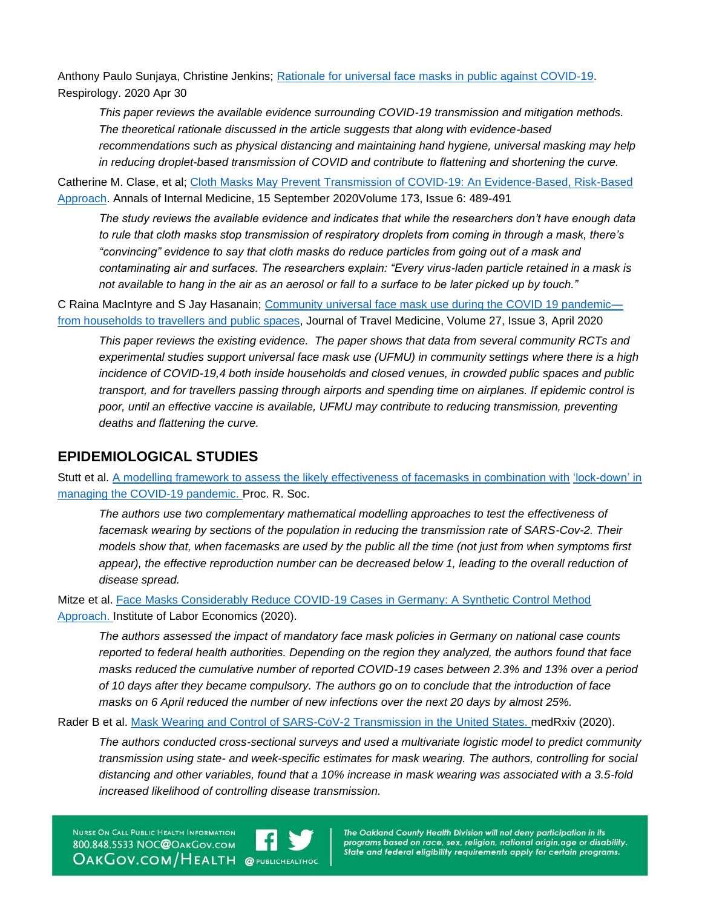Anthony Paulo Sunjaya, Christine Jenkins; [Rationale for universal face masks in public against COVID](https://onlinelibrary.wiley.com/doi/10.1111/resp.13834)-19. Respirology. 2020 Apr 30

*This paper reviews the available evidence surrounding COVID-19 transmission and mitigation methods. The theoretical rationale discussed in the article suggests that along with evidence-based recommendations such as physical distancing and maintaining hand hygiene, universal masking may help in reducing droplet-based transmission of COVID and contribute to flattening and shortening the curve.*

Catherine M. Clase, et al; [Cloth Masks May Prevent Transmission of COVID-19: An Evidence-Based, Risk-Based](https://www.acpjournals.org/doi/10.7326/M20-2567)  [Approach.](https://www.acpjournals.org/doi/10.7326/M20-2567) Annals of Internal Medicine, 15 September 2020Volume 173, Issue 6: 489-491

*The study reviews the available evidence and indicates that while the researchers don't have enough data to rule that cloth masks stop transmission of respiratory droplets from coming in through a mask, there's "convincing" evidence to say that cloth masks do reduce particles from going out of a mask and contaminating air and surfaces. The researchers explain: "Every virus-laden particle retained in a mask is not available to hang in the air as an aerosol or fall to a surface to be later picked up by touch."*

C Raina MacIntyre and S Jay Hasanain; [Community universal face mask use during the COVID 19 pandemic](https://academic.oup.com/jtm/article/27/3/taaa056/5822103) [from households to travellers and public spaces,](https://academic.oup.com/jtm/article/27/3/taaa056/5822103) Journal of Travel Medicine, Volume 27, Issue 3, April 2020

*This paper reviews the existing evidence. The paper shows that data from several community RCTs and experimental studies support universal face mask use (UFMU) in community settings where there is a high incidence of COVID-19,4 both inside households and closed venues, in crowded public spaces and public transport, and for travellers passing through airports and spending time on airplanes. If epidemic control is poor, until an effective vaccine is available, UFMU may contribute to reducing transmission, preventing deaths and flattening the curve.*

#### **EPIDEMIOLOGICAL STUDIES**

Stutt et al. [A modelling framework to assess the likely effectiveness of facemasks in combination with](http://doi.org/10.1098/rspa.2020.0376) ['lock-down' in](http://doi.org/10.1098/rspa.2020.0376)  [managing the COVID-19 pandemic. P](http://doi.org/10.1098/rspa.2020.0376)roc. R. Soc.

*The authors use two complementary mathematical modelling approaches to test the effectiveness of facemask wearing by sections of the population in reducing the transmission rate of SARS-Cov-2. Their models show that, when facemasks are used by the public all the time (not just from when symptoms first*  appear), the effective reproduction number can be decreased below 1, leading to the overall reduction of *disease spread.*

Mitze et al. [Face Masks Considerably Reduce COVID-19 Cases in Germany: A Synthetic Control Method](http://ftp.iza.org/dp13319.pdf) [Approach. I](http://ftp.iza.org/dp13319.pdf)nstitute of Labor Economics (2020).

*The authors assessed the impact of mandatory face mask policies in Germany on national case counts reported to federal health authorities. Depending on the region they analyzed, the authors found that face masks reduced the cumulative number of reported COVID-19 cases between 2.3% and 13% over a period of 10 days after they became compulsory. The authors go on to conclude that the introduction of face masks on 6 April reduced the number of new infections over the next 20 days by almost 25%.*

Rader B et al. [Mask Wearing and Control of SARS-CoV-2 Transmission in the United States. m](https://www.ncbi.nlm.nih.gov/pmc/articles/PMC7457618/)edRxiv (2020).

*The authors conducted cross-sectional surveys and used a multivariate logistic model to predict community transmission using state- and week-specific estimates for mask wearing. The authors, controlling for social distancing and other variables, found that a 10% increase in mask wearing was associated with a 3.5-fold increased likelihood of controlling disease transmission.*

NURSE ON CALL PUBLIC HEALTH INFORMATION 800.848.5533 NOC@OAKGOV.COM **OAKGOV.COM/HEALTH @PUBLICHEALTHOC**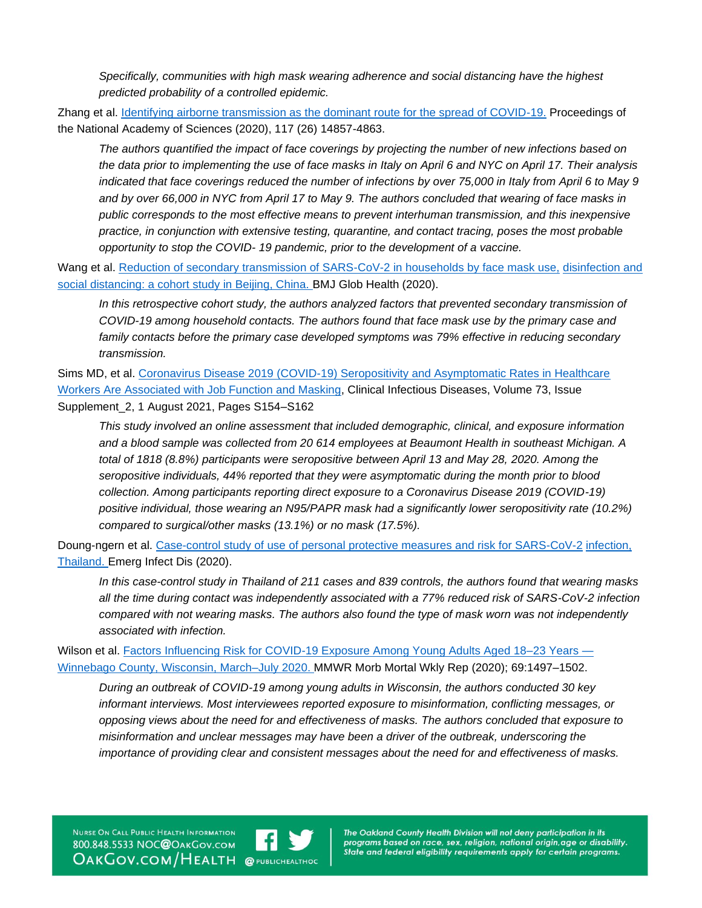*Specifically, communities with high mask wearing adherence and social distancing have the highest predicted probability of a controlled epidemic.*

Zhang et al. [Identifying airborne transmission as the dominant route for the spread of COVID-19.](https://www.pnas.org/content/117/26/14857) Proceedings of the National Academy of Sciences (2020), 117 (26) 14857-4863.

*The authors quantified the impact of face coverings by projecting the number of new infections based on the data prior to implementing the use of face masks in Italy on April 6 and NYC on April 17. Their analysis indicated that face coverings reduced the number of infections by over 75,000 in Italy from April 6 to May 9 and by over 66,000 in NYC from April 17 to May 9. The authors concluded that wearing of face masks in public corresponds to the most effective means to prevent interhuman transmission, and this inexpensive practice, in conjunction with extensive testing, quarantine, and contact tracing, poses the most probable opportunity to stop the COVID- 19 pandemic, prior to the development of a vaccine.*

Wang et al. [Reduction of secondary transmission of SARS-CoV-2 in households by face mask use,](https://pubmed.ncbi.nlm.nih.gov/32467353/) [disinfection and](https://pubmed.ncbi.nlm.nih.gov/32467353/)  [social distancing: a cohort study in Beijing, China. B](https://pubmed.ncbi.nlm.nih.gov/32467353/)MJ Glob Health (2020).

*In this retrospective cohort study, the authors analyzed factors that prevented secondary transmission of COVID-19 among household contacts. The authors found that face mask use by the primary case and family contacts before the primary case developed symptoms was 79% effective in reducing secondary transmission.*

Sims MD, et al. [Coronavirus Disease 2019 \(COVID-19\) Seropositivity and Asymptomatic Rates in Healthcare](https://academic.oup.com/cid/article/73/Supplement_2/S154/5956266)  [Workers Are Associated with Job Function and Masking,](https://academic.oup.com/cid/article/73/Supplement_2/S154/5956266) Clinical Infectious Diseases, Volume 73, Issue Supplement\_2, 1 August 2021, Pages S154–S162

*This study involved an online assessment that included demographic, clinical, and exposure information and a blood sample was collected from 20 614 employees at Beaumont Health in southeast Michigan. A total of 1818 (8.8%) participants were seropositive between April 13 and May 28, 2020. Among the seropositive individuals, 44% reported that they were asymptomatic during the month prior to blood collection. Among participants reporting direct exposure to a Coronavirus Disease 2019 (COVID-19) positive individual, those wearing an N95/PAPR mask had a significantly lower seropositivity rate (10.2%) compared to surgical/other masks (13.1%) or no mask (17.5%).*

Doung-ngern et al. [Case-control study of use of personal protective measures and risk for SARS-CoV-2](https://doi.org/10.3201/eid2611.203003) [infection,](https://doi.org/10.3201/eid2611.203003)  [Thailand. E](https://doi.org/10.3201/eid2611.203003)merg Infect Dis (2020).

*In this case-control study in Thailand of 211 cases and 839 controls, the authors found that wearing masks all the time during contact was independently associated with a 77% reduced risk of SARS-CoV-2 infection compared with not wearing masks. The authors also found the type of mask worn was not independently associated with infection.*

Wilson et al. [Factors Influencing Risk for COVID-19 Exposure Among Young Adults Aged 18–23 Years —](http://dx.doi.org/10.15585/mmwr.mm6941e2) [Winnebago County, Wisconsin, March–July 2020. M](http://dx.doi.org/10.15585/mmwr.mm6941e2)MWR Morb Mortal Wkly Rep (2020); 69:1497–1502.

*During an outbreak of COVID-19 among young adults in Wisconsin, the authors conducted 30 key informant interviews. Most interviewees reported exposure to misinformation, conflicting messages, or opposing views about the need for and effectiveness of masks. The authors concluded that exposure to misinformation and unclear messages may have been a driver of the outbreak, underscoring the importance of providing clear and consistent messages about the need for and effectiveness of masks.*

NURSE ON CALL PUBLIC HEALTH INFORMATION 800.848.5533 NOC@ОАКGOV.COM **OAKGOV.COM/HEALTH @PUBLICHEALTHOC** 

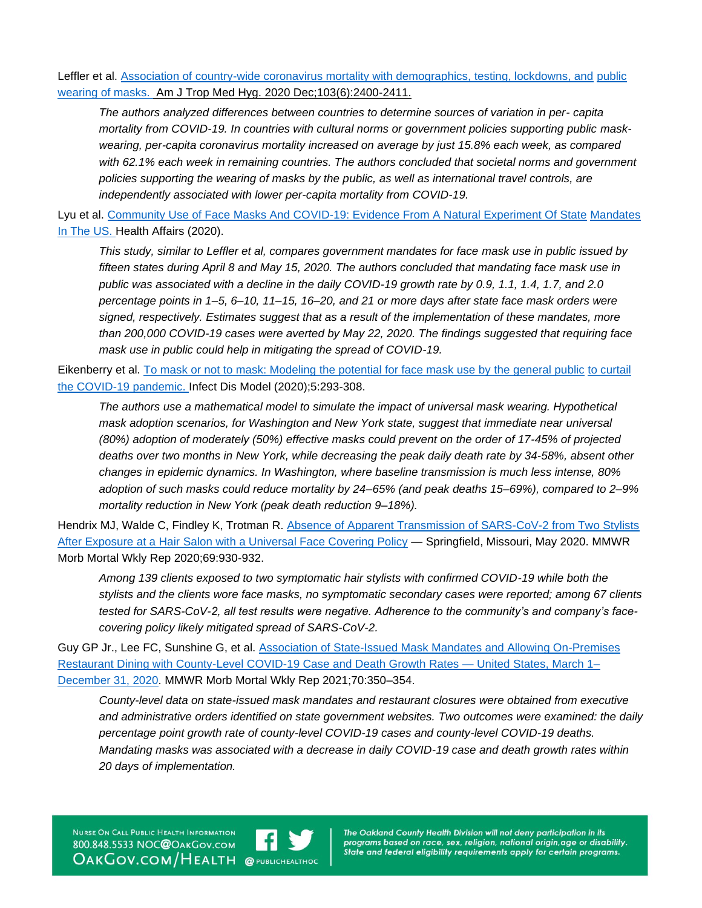Leffler et al. [Association of country-wide coronavirus mortality with demographics, testing, lockdowns, and](https://doi.org/10.4269/ajtmh.20-1015) public [wearing of masks.](https://doi.org/10.4269/ajtmh.20-1015) Am J Trop Med Hyg. 2020 Dec;103(6):2400-2411.

*The authors analyzed differences between countries to determine sources of variation in per- capita mortality from COVID-19. In countries with cultural norms or government policies supporting public maskwearing, per-capita coronavirus mortality increased on average by just 15.8% each week, as compared with 62.1% each week in remaining countries. The authors concluded that societal norms and government policies supporting the wearing of masks by the public, as well as international travel controls, are independently associated with lower per-capita mortality from COVID-19.*

Lyu et al. [Community Use of Face Masks And COVID-19: Evidence From A Natural Experiment Of State](https://www.healthaffairs.org/doi/full/10.1377/hlthaff.2020.00818) [Mandates](https://www.healthaffairs.org/doi/full/10.1377/hlthaff.2020.00818)  [In The US. H](https://www.healthaffairs.org/doi/full/10.1377/hlthaff.2020.00818)ealth Affairs (2020).

*This study, similar to Leffler et al, compares government mandates for face mask use in public issued by fifteen states during April 8 and May 15, 2020. The authors concluded that mandating face mask use in public was associated with a decline in the daily COVID-19 growth rate by 0.9, 1.1, 1.4, 1.7, and 2.0 percentage points in 1–5, 6–10, 11–15, 16–20, and 21 or more days after state face mask orders were signed, respectively. Estimates suggest that as a result of the implementation of these mandates, more than 200,000 COVID-19 cases were averted by May 22, 2020. The findings suggested that requiring face mask use in public could help in mitigating the spread of COVID-19.*

Eikenberry et al. [To mask or not to mask: Modeling the potential for face mask use by the general public](https://www.ncbi.nlm.nih.gov/pmc/articles/PMC7186508/) [to curtail](https://www.ncbi.nlm.nih.gov/pmc/articles/PMC7186508/)  [the COVID-19 pandemic. I](https://www.ncbi.nlm.nih.gov/pmc/articles/PMC7186508/)nfect Dis Model (2020);5:293-308.

*The authors use a mathematical model to simulate the impact of universal mask wearing. Hypothetical mask adoption scenarios, for Washington and New York state, suggest that immediate near universal (80%) adoption of moderately (50%) effective masks could prevent on the order of 17-45% of projected deaths over two months in New York, while decreasing the peak daily death rate by 34-58%, absent other changes in epidemic dynamics. In Washington, where baseline transmission is much less intense, 80% adoption of such masks could reduce mortality by 24–65% (and peak deaths 15–69%), compared to 2–9% mortality reduction in New York (peak death reduction 9–18%).*

Hendrix MJ, Walde C, Findley K, Trotman R. [Absence of Apparent Transmission of SARS-CoV-2 from Two Stylists](https://www.cdc.gov/mmwr/volumes/69/wr/mm6928e2.htm)  After Exposure at a Hair [Salon with a Universal Face Covering Policy](https://www.cdc.gov/mmwr/volumes/69/wr/mm6928e2.htm) — Springfield, Missouri, May 2020. MMWR Morb Mortal Wkly Rep 2020;69:930-932.

*Among 139 clients exposed to two symptomatic hair stylists with confirmed COVID-19 while both the stylists and the clients wore face masks, no symptomatic secondary cases were reported; among 67 clients tested for SARS-CoV-2, all test results were negative. Adherence to the community's and company's facecovering policy likely mitigated spread of SARS-CoV-2.*

Guy GP Jr., Lee FC, Sunshine G, et al. [Association of State-Issued Mask Mandates and Allowing On-Premises](https://www.cdc.gov/mmwr/volumes/70/wr/mm7010e3.htm?s_cid=mm7010e3_w)  [Restaurant Dining with County-Level COVID-19 Case and Death Growth Rates —](https://www.cdc.gov/mmwr/volumes/70/wr/mm7010e3.htm?s_cid=mm7010e3_w) United States, March 1– [December 31, 2020.](https://www.cdc.gov/mmwr/volumes/70/wr/mm7010e3.htm?s_cid=mm7010e3_w) MMWR Morb Mortal Wkly Rep 2021;70:350–354.

*County-level data on state-issued mask mandates and restaurant closures were obtained from executive and administrative orders identified on state government websites. Two outcomes were examined: the daily percentage point growth rate of county-level COVID-19 cases and county-level COVID-19 deaths. Mandating masks was associated with a decrease in daily COVID-19 case and death growth rates within 20 days of implementation.*

NURSE ON CALL PUBLIC HEALTH INFORMATION 800.848.5533 NOC@ОАКGOV.COM **OAKGOV.COM/HEALTH @PUBLICHEALTHOC**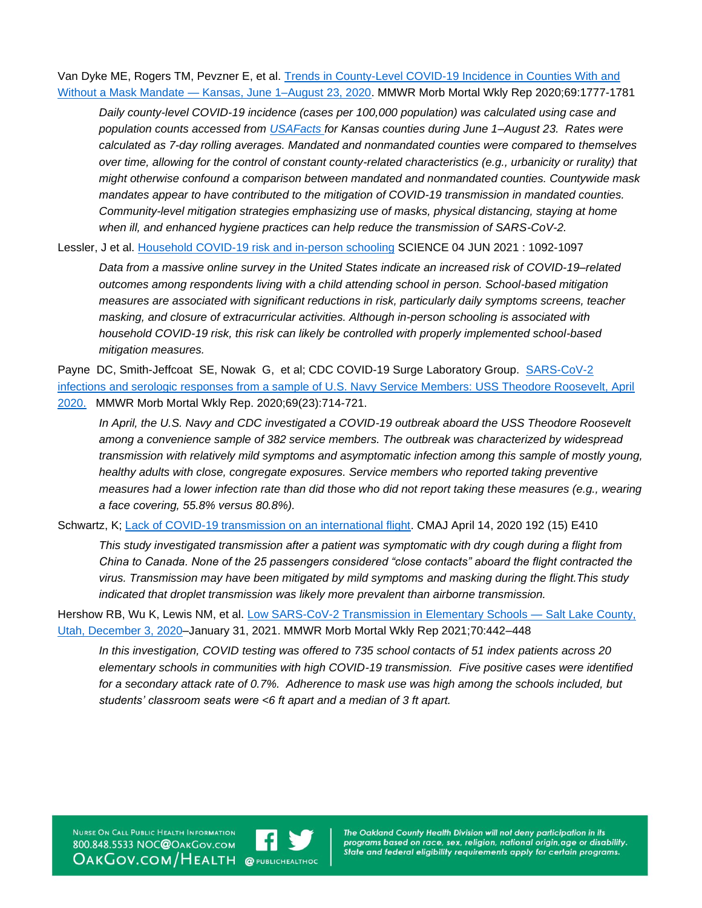Van Dyke ME, Rogers TM, Pevzner E, et al. [Trends in County-Level COVID-19 Incidence in Counties With and](https://www.cdc.gov/mmwr/volumes/69/wr/mm6947e2.htm)  Without a Mask Mandate — [Kansas, June 1–August 23, 2020.](https://www.cdc.gov/mmwr/volumes/69/wr/mm6947e2.htm) MMWR Morb Mortal Wkly Rep 2020;69:1777-1781

*Daily county-level COVID-19 incidence (cases per 100,000 population) was calculated using case and population counts accessed from [USAFacts](https://usafacts.org/) for Kansas counties during June 1–August 23. Rates were calculated as 7-day rolling averages. Mandated and nonmandated counties were compared to themselves over time, allowing for the control of constant county-related characteristics (e.g., urbanicity or rurality) that might otherwise confound a comparison between mandated and nonmandated counties. Countywide mask mandates appear to have contributed to the mitigation of COVID-19 transmission in mandated counties. Community-level mitigation strategies emphasizing use of masks, physical distancing, staying at home when ill, and enhanced hygiene practices can help reduce the transmission of SARS-CoV-2.*

Lessler, J et al. [Household COVID-19 risk and in-person schooling](https://science.sciencemag.org/content/372/6546/1092) SCIENCE 04 JUN 2021 : 1092-1097

*Data from a massive online survey in the United States indicate an increased risk of COVID-19–related outcomes among respondents living with a child attending school in person. School-based mitigation measures are associated with significant reductions in risk, particularly daily symptoms screens, teacher masking, and closure of extracurricular activities. Although in-person schooling is associated with household COVID-19 risk, this risk can likely be controlled with properly implemented school-based mitigation measures.*

Payne DC, Smith-Jeffcoat SE, Nowak G, et al; CDC COVID-19 Surge Laboratory Group. [SARS-CoV-2](https://www.cdc.gov/mmwr/volumes/69/wr/mm6923e4.htm)  [infections and serologic responses from a sample of U.S. Navy Service Members: USS Theodore Roosevelt, April](https://www.cdc.gov/mmwr/volumes/69/wr/mm6923e4.htm) 

[2020.](https://www.cdc.gov/mmwr/volumes/69/wr/mm6923e4.htm) MMWR Morb Mortal Wkly Rep. 2020;69(23):714-721.

*In April, the U.S. Navy and CDC investigated a COVID-19 outbreak aboard the USS Theodore Roosevelt among a convenience sample of 382 service members. The outbreak was characterized by widespread transmission with relatively mild symptoms and asymptomatic infection among this sample of mostly young, healthy adults with close, congregate exposures. Service members who reported taking preventive measures had a lower infection rate than did those who did not report taking these measures (e.g., wearing a face covering, 55.8% versus 80.8%).*

Schwartz, K; [Lack of COVID-19 transmission on an international flight.](https://www.ncbi.nlm.nih.gov/pmc/articles/PMC7162437/) CMAJ April 14, 2020 192 (15) E410

*This study investigated transmission after a patient was symptomatic with dry cough during a flight from China to Canada. None of the 25 passengers considered "close contacts" aboard the flight contracted the virus. Transmission may have been mitigated by mild symptoms and masking during the flight.This study indicated that droplet transmission was likely more prevalent than airborne transmission.*

Hershow RB, Wu K, Lewis NM, et al. [Low SARS-CoV-2 Transmission in Elementary Schools —](https://www.cdc.gov/mmwr/volumes/70/wr/mm7012e3.htm?s_cid=mm7012e3_w#suggestedcitation) Salt Lake County, [Utah, December 3, 2020–](https://www.cdc.gov/mmwr/volumes/70/wr/mm7012e3.htm?s_cid=mm7012e3_w#suggestedcitation)January 31, 2021. MMWR Morb Mortal Wkly Rep 2021;70:442–448

*In this investigation, COVID testing was offered to 735 school contacts of 51 index patients across 20 elementary schools in communities with high COVID-19 transmission. Five positive cases were identified for a secondary attack rate of 0.7%. Adherence to mask use was high among the schools included, but students' classroom seats were <6 ft apart and a median of 3 ft apart.*

NURSE ON CALL PUBLIC HEALTH INFORMATION 800.848.5533 NOC@OAKGOV.COM **OAKGOV.COM/HEALTH @PUBLICHEALTHOC** 

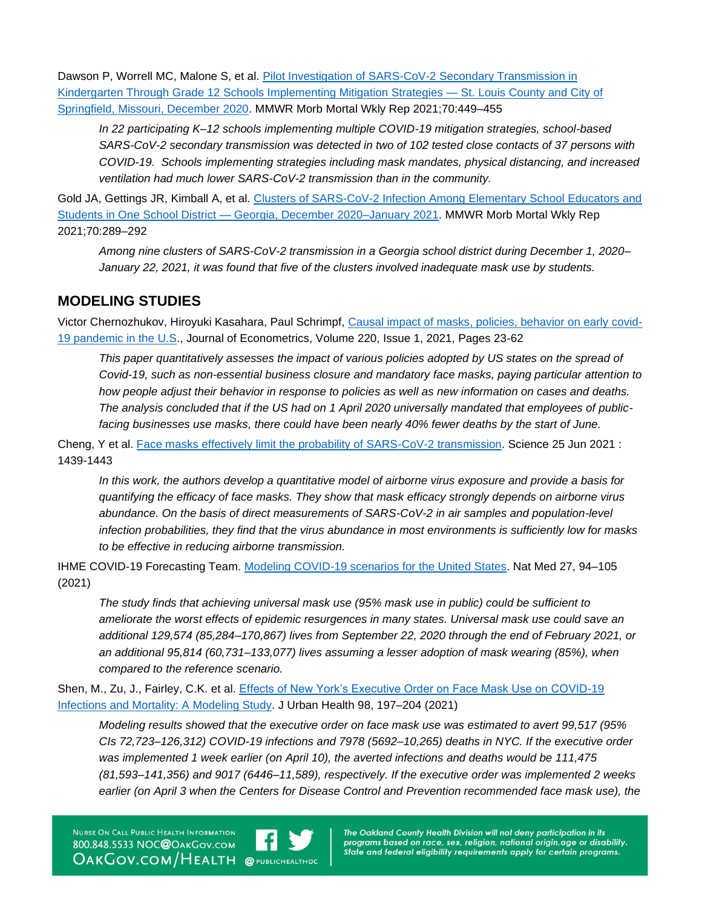Dawson P, Worrell MC, Malone S, et al. Pilot Investigation of SARS-CoV-2 Secondary Transmission in [Kindergarten Through Grade 12 Schools Implementing Mitigation Strategies —](https://www.cdc.gov/mmwr/volumes/70/wr/mm7012e4.htm?s_cid=mm7012e4_w) St. Louis County and City of [Springfield, Missouri, December 2020.](https://www.cdc.gov/mmwr/volumes/70/wr/mm7012e4.htm?s_cid=mm7012e4_w) MMWR Morb Mortal Wkly Rep 2021;70:449–455

*In 22 participating K–12 schools implementing multiple COVID-19 mitigation strategies, school-based SARS-CoV-2 secondary transmission was detected in two of 102 tested close contacts of 37 persons with COVID-19. Schools implementing strategies including mask mandates, physical distancing, and increased ventilation had much lower SARS-CoV-2 transmission than in the community.*

Gold JA, Gettings JR, Kimball A, et al. [Clusters of SARS-CoV-2 Infection Among Elementary School Educators and](https://www.cdc.gov/mmwr/volumes/70/wr/mm7008e4.htm)  Students in One School District — [Georgia, December 2020–January 2021.](https://www.cdc.gov/mmwr/volumes/70/wr/mm7008e4.htm) MMWR Morb Mortal Wkly Rep 2021;70:289–292

*Among nine clusters of SARS-CoV-2 transmission in a Georgia school district during December 1, 2020– January 22, 2021, it was found that five of the clusters involved inadequate mask use by students.*

## **MODELING STUDIES**

Victor Chernozhukov, Hiroyuki Kasahara, Paul Schrimpf, [Causal impact of masks, policies, behavior on early covid-](https://www.sciencedirect.com/science/article/pii/S0304407620303468)[19 pandemic in the U.S.](https://www.sciencedirect.com/science/article/pii/S0304407620303468), Journal of Econometrics, Volume 220, Issue 1, 2021, Pages 23-62

*This paper quantitatively assesses the impact of various policies adopted by US states on the spread of Covid-19, such as non-essential business closure and mandatory face masks, paying particular attention to how people adjust their behavior in response to policies as well as new information on cases and deaths. The analysis concluded that if the US had on 1 April 2020 universally mandated that employees of publicfacing businesses use masks, there could have been nearly 40% fewer deaths by the start of June.*

Cheng, Y et al. [Face masks effectively limit the probability of SARS-CoV-2 transmission.](https://science.sciencemag.org/content/372/6549/1439) Science 25 Jun 2021 : 1439-1443

*In this work, the authors develop a quantitative model of airborne virus exposure and provide a basis for quantifying the efficacy of face masks. They show that mask efficacy strongly depends on airborne virus abundance. On the basis of direct measurements of SARS-CoV-2 in air samples and population-level infection probabilities, they find that the virus abundance in most environments is sufficiently low for masks to be effective in reducing airborne transmission.*

IHME COVID-19 Forecasting Team. [Modeling COVID-19 scenarios for the United States.](https://www.nature.com/articles/s41591-020-1132-9) Nat Med 27, 94–105 (2021)

*The study finds that achieving universal mask use (95% mask use in public) could be sufficient to ameliorate the worst effects of epidemic resurgences in many states. Universal mask use could save an additional 129,574 (85,284–170,867) lives from September 22, 2020 through the end of February 2021, or an additional 95,814 (60,731–133,077) lives assuming a lesser adoption of mask wearing (85%), when compared to the reference scenario.*

Shen, M., Zu, J., Fairley, C.K. et al. [Effects of New York's Executive Order on Face Mask Use on COVID-19](https://www.ncbi.nlm.nih.gov/pmc/articles/PMC7919630/)  [Infections and Mortality: A Modeling Study.](https://www.ncbi.nlm.nih.gov/pmc/articles/PMC7919630/) J Urban Health 98, 197–204 (2021)

*Modeling results showed that the executive order on face mask use was estimated to avert 99,517 (95% CIs 72,723–126,312) COVID-19 infections and 7978 (5692–10,265) deaths in NYC. If the executive order was implemented 1 week earlier (on April 10), the averted infections and deaths would be 111,475 (81,593–141,356) and 9017 (6446–11,589), respectively. If the executive order was implemented 2 weeks earlier (on April 3 when the Centers for Disease Control and Prevention recommended face mask use), the* 

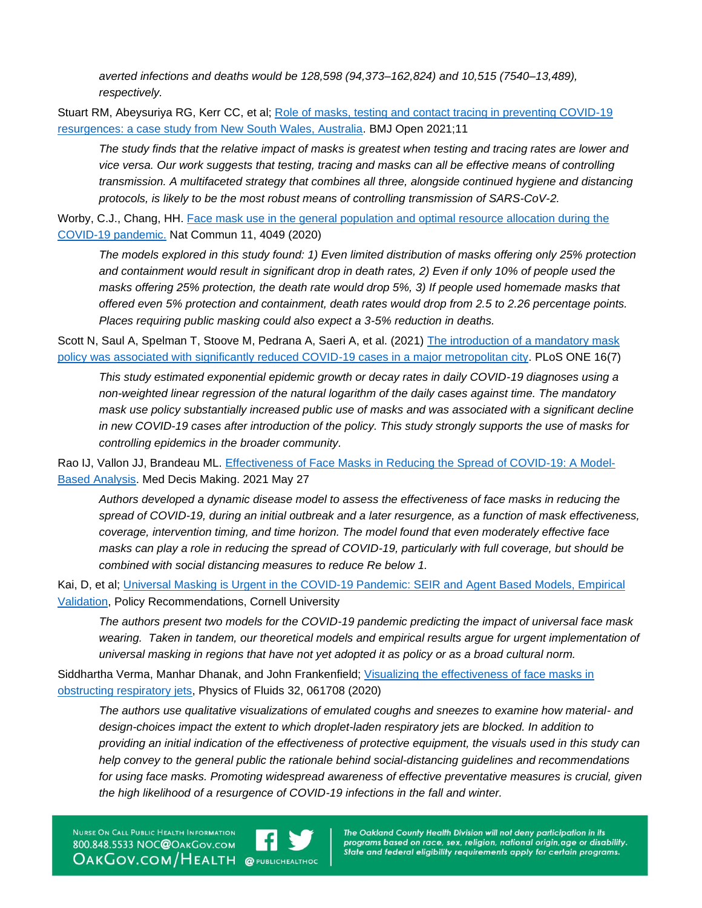*averted infections and deaths would be 128,598 (94,373–162,824) and 10,515 (7540–13,489), respectively.*

Stuart RM, Abeysuriya RG, Kerr CC, et al; [Role of masks, testing and contact tracing in preventing COVID-19](https://bmjopen.bmj.com/content/11/4/e045941)  [resurgences: a case study from New South Wales, Australia.](https://bmjopen.bmj.com/content/11/4/e045941) BMJ Open 2021;11

*The study finds that the relative impact of masks is greatest when testing and tracing rates are lower and vice versa. Our work suggests that testing, tracing and masks can all be effective means of controlling transmission. A multifaceted strategy that combines all three, alongside continued hygiene and distancing protocols, is likely to be the most robust means of controlling transmission of SARS-CoV-2.*

Worby, C.J., Chang, HH. Face mask use in the general population and optimal resource allocation during the [COVID-19 pandemic.](https://www.nature.com/articles/s41467-020-17922-x) Nat Commun 11, 4049 (2020)

*The models explored in this study found: 1) Even limited distribution of masks offering only 25% protection and containment would result in significant drop in death rates, 2) Even if only 10% of people used the masks offering 25% protection, the death rate would drop 5%, 3) If people used homemade masks that offered even 5% protection and containment, death rates would drop from 2.5 to 2.26 percentage points. Places requiring public masking could also expect a 3-5% reduction in deaths.*

Scott N, Saul A, Spelman T, Stoove M, Pedrana A, Saeri A, et al. (2021) The introduction of a mandatory mask [policy was associated with significantly reduced COVID-19 cases in a major metropolitan city.](https://journals.plos.org/plosone/article?id=10.1371/journal.pone.0253510) PLoS ONE 16(7)

*This study estimated exponential epidemic growth or decay rates in daily COVID-19 diagnoses using a non-weighted linear regression of the natural logarithm of the daily cases against time. The mandatory mask use policy substantially increased public use of masks and was associated with a significant decline in new COVID-19 cases after introduction of the policy. This study strongly supports the use of masks for controlling epidemics in the broader community.*

Rao IJ, Vallon JJ, Brandeau ML. [Effectiveness of Face Masks in Reducing the Spread of COVID-19: A Model-](https://pubmed.ncbi.nlm.nih.gov/34041970/)[Based Analysis.](https://pubmed.ncbi.nlm.nih.gov/34041970/) Med Decis Making. 2021 May 27

*Authors developed a dynamic disease model to assess the effectiveness of face masks in reducing the spread of COVID-19, during an initial outbreak and a later resurgence, as a function of mask effectiveness, coverage, intervention timing, and time horizon. The model found that even moderately effective face masks can play a role in reducing the spread of COVID-19, particularly with full coverage, but should be combined with social distancing measures to reduce Re below 1.*

Kai, D, et al; [Universal Masking is Urgent in the COVID-19 Pandemic: SEIR and Agent Based Models, Empirical](https://arxiv.org/abs/2004.13553)  [Validation,](https://arxiv.org/abs/2004.13553) Policy Recommendations, Cornell University

*The authors present two models for the COVID-19 pandemic predicting the impact of universal face mask wearing. Taken in tandem, our theoretical models and empirical results argue for urgent implementation of universal masking in regions that have not yet adopted it as policy or as a broad cultural norm.*

Siddhartha Verma, Manhar Dhanak, and John Frankenfield; [Visualizing the effectiveness of face masks in](https://www.ncbi.nlm.nih.gov/pmc/articles/PMC7327717/)  [obstructing respiratory jets,](https://www.ncbi.nlm.nih.gov/pmc/articles/PMC7327717/) Physics of Fluids 32, 061708 (2020)

*The authors use qualitative visualizations of emulated coughs and sneezes to examine how material- and design-choices impact the extent to which droplet-laden respiratory jets are blocked. In addition to providing an initial indication of the effectiveness of protective equipment, the visuals used in this study can help convey to the general public the rationale behind social-distancing guidelines and recommendations for using face masks. Promoting widespread awareness of effective preventative measures is crucial, given the high likelihood of a resurgence of COVID-19 infections in the fall and winter.*

NURSE ON CALL PUBLIC HEALTH INFORMATION 800.848.5533 NOC@OAKGOV.COM **OAKGOV.COM/HEALTH @PUBLICHEALTHOC** 

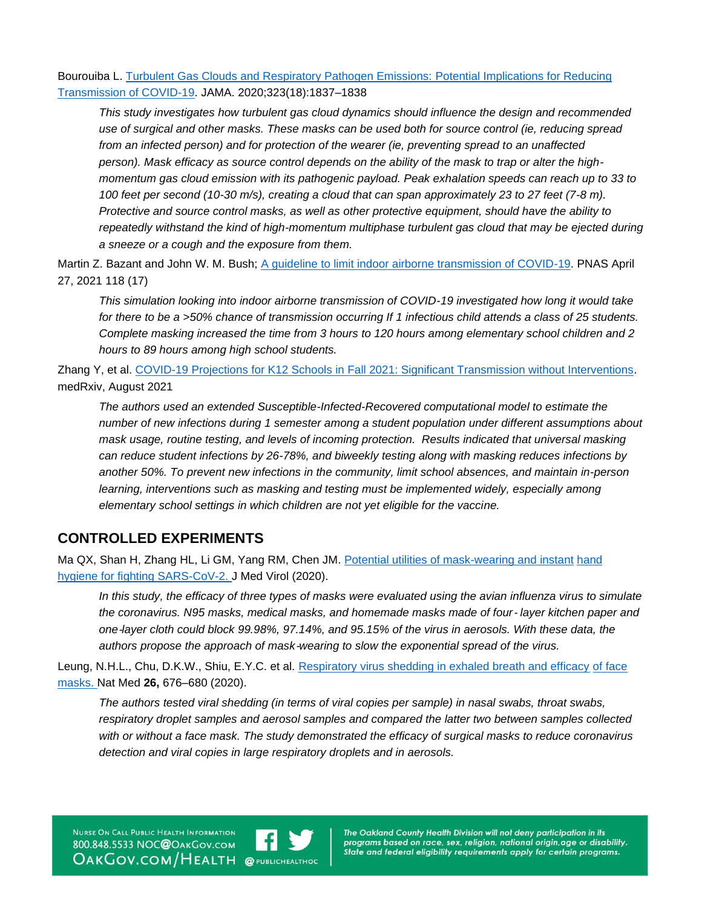Bourouiba L. [Turbulent Gas Clouds and Respiratory Pathogen Emissions:](https://jamanetwork.com/journals/jama/fullarticle/2763852) Potential Implications for Reducing [Transmission of COVID-19.](https://jamanetwork.com/journals/jama/fullarticle/2763852) JAMA. 2020;323(18):1837–1838

*This study investigates how turbulent gas cloud dynamics should influence the design and recommended use of surgical and other masks. These masks can be used both for source control (ie, reducing spread from an infected person) and for protection of the wearer (ie, preventing spread to an unaffected person). Mask efficacy as source control depends on the ability of the mask to trap or alter the highmomentum gas cloud emission with its pathogenic payload. Peak exhalation speeds can reach up to 33 to 100 feet per second (10-30 m/s), creating a cloud that can span approximately 23 to 27 feet (7-8 m). Protective and source control masks, as well as other protective equipment, should have the ability to repeatedly withstand the kind of high-momentum multiphase turbulent gas cloud that may be ejected during a sneeze or a cough and the exposure from them.*

Martin Z. Bazant and John W. M. Bush; [A guideline to limit indoor airborne transmission of COVID-19.](https://www.pnas.org/content/118/17/e2018995118) PNAS April 27, 2021 118 (17)

*This simulation looking into indoor airborne transmission of COVID-19 investigated how long it would take for there to be a >50% chance of transmission occurring If 1 infectious child attends a class of 25 students. Complete masking increased the time from 3 hours to 120 hours among elementary school children and 2 hours to 89 hours among high school students.*

Zhang Y, et al. [COVID-19 Projections for K12 Schools in Fall 2021: Significant Transmission without Interventions.](https://www.medrxiv.org/content/10.1101/2021.08.10.21261726v1.full) medRxiv, August 2021

*The authors used an extended Susceptible-Infected-Recovered computational model to estimate the number of new infections during 1 semester among a student population under different assumptions about mask usage, routine testing, and levels of incoming protection. Results indicated that universal masking can reduce student infections by 26-78%, and biweekly testing along with masking reduces infections by another 50%. To prevent new infections in the community, limit school absences, and maintain in-person learning, interventions such as masking and testing must be implemented widely, especially among elementary school settings in which children are not yet eligible for the vaccine.*

### **CONTROLLED EXPERIMENTS**

Ma QX, Shan H, Zhang HL, Li GM, Yang RM, Chen JM. [Potential utilities of mask-wearing and instant](https://www.ncbi.nlm.nih.gov/pmc/articles/PMC7228401/) [hand](https://www.ncbi.nlm.nih.gov/pmc/articles/PMC7228401/)  [hygiene for fighting SARS-CoV-2. J](https://www.ncbi.nlm.nih.gov/pmc/articles/PMC7228401/) Med Virol (2020).

*In this study, the efficacy of three types of masks were evaluated using the avian influenza virus to simulate the coronavirus. N95 masks, medical masks, and homemade masks made of four*‐ *layer kitchen paper and one*‐*layer cloth could block 99.98%, 97.14%, and 95.15% of the virus in aerosols. With these data, the authors propose the approach of mask*‐*wearing to slow the exponential spread of the virus.*

Leung, N.H.L., Chu, D.K.W., Shiu, E.Y.C. et al. [Respiratory virus shedding in exhaled breath and efficacy](https://doi.org/10.1038/s41591-020-0843-2) [of face](https://doi.org/10.1038/s41591-020-0843-2) [masks. N](https://doi.org/10.1038/s41591-020-0843-2)at Med **26,** 676–680 (2020).

*The authors tested viral shedding (in terms of viral copies per sample) in nasal swabs, throat swabs, respiratory droplet samples and aerosol samples and compared the latter two between samples collected with or without a face mask. The study demonstrated the efficacy of surgical masks to reduce coronavirus detection and viral copies in large respiratory droplets and in aerosols.*

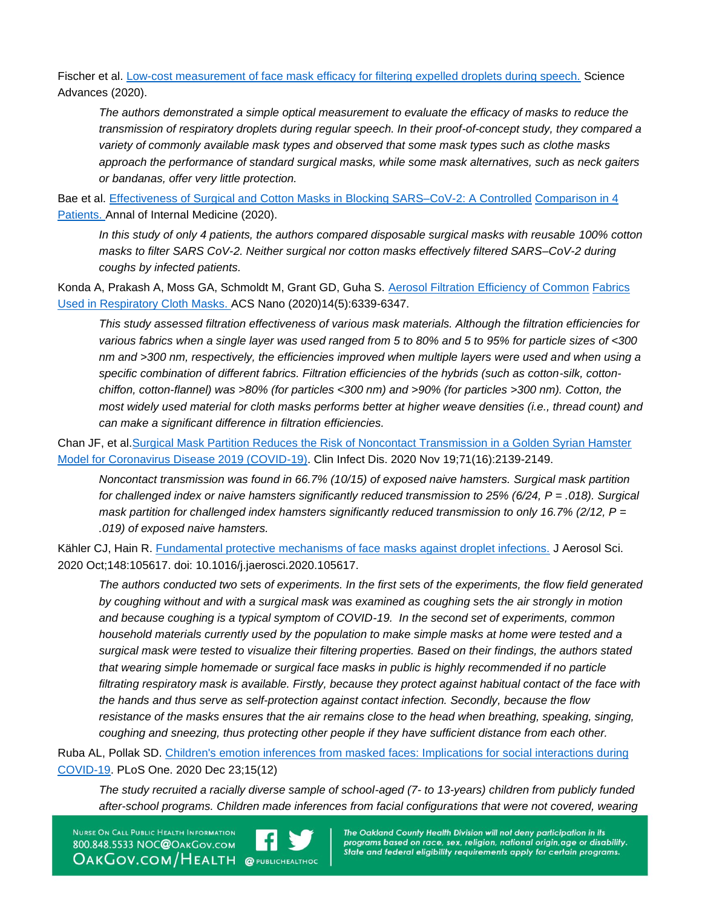Fischer et al. [Low-cost measurement of face mask efficacy for filtering expelled droplets during speech.](https://advances.sciencemag.org/content/6/36/eabd3083) Science Advances (2020).

*The authors demonstrated a simple optical measurement to evaluate the efficacy of masks to reduce the transmission of respiratory droplets during regular speech. In their proof-of-concept study, they compared a variety of commonly available mask types and observed that some mask types such as clothe masks approach the performance of standard surgical masks, while some mask alternatives, such as neck gaiters or bandanas, offer very little protection.*

Bae et al. [Effectiveness of Surgical and Cotton Masks in Blocking SARS–CoV-2: A Controlled](https://www.acpjournals.org/doi/10.7326/M20-1342) [Comparison in 4](https://www.acpjournals.org/doi/10.7326/M20-1342)  [Patients. A](https://www.acpjournals.org/doi/10.7326/M20-1342)nnal of Internal Medicine (2020).

*In this study of only 4 patients, the authors compared disposable surgical masks with reusable 100% cotton masks to filter SARS CoV-2. Neither surgical nor cotton masks effectively filtered SARS–CoV-2 during coughs by infected patients.*

Konda A, Prakash A, Moss GA, Schmoldt M, Grant GD, Guha S. [Aerosol Filtration Efficiency of Common](https://www.ncbi.nlm.nih.gov/pmc/articles/PMC7185834/) [Fabrics](https://www.ncbi.nlm.nih.gov/pmc/articles/PMC7185834/)  [Used in Respiratory Cloth Masks. A](https://www.ncbi.nlm.nih.gov/pmc/articles/PMC7185834/)CS Nano (2020)14(5):6339-6347.

*This study assessed filtration effectiveness of various mask materials. Although the filtration efficiencies for various fabrics when a single layer was used ranged from 5 to 80% and 5 to 95% for particle sizes of <300 nm and >300 nm, respectively, the efficiencies improved when multiple layers were used and when using a specific combination of different fabrics. Filtration efficiencies of the hybrids (such as cotton-silk, cottonchiffon, cotton-flannel) was >80% (for particles <300 nm) and >90% (for particles >300 nm). Cotton, the most widely used material for cloth masks performs better at higher weave densities (i.e., thread count) and can make a significant difference in filtration efficiencies.*

Chan JF, et al[.Surgical Mask Partition Reduces the Risk of Noncontact Transmission in a Golden Syrian Hamster](https://academic.oup.com/cid/article/71/16/2139/5848814?login=true)  [Model for Coronavirus Disease 2019 \(COVID-19\).](https://academic.oup.com/cid/article/71/16/2139/5848814?login=true) Clin Infect Dis. 2020 Nov 19;71(16):2139-2149.

*Noncontact transmission was found in 66.7% (10/15) of exposed naive hamsters. Surgical mask partition for challenged index or naive hamsters significantly reduced transmission to 25% (6/24, P = .018). Surgical mask partition for challenged index hamsters significantly reduced transmission to only 16.7% (2/12, P = .019) of exposed naive hamsters.* 

Kähler CJ, Hain R. [Fundamental protective mechanisms of face masks against droplet infections.](https://www.sciencedirect.com/science/article/pii/S0021850220301063) J Aerosol Sci. 2020 Oct;148:105617. doi: 10.1016/j.jaerosci.2020.105617.

*The authors conducted two sets of experiments. In the first sets of the experiments, the flow field generated by coughing without and with a surgical mask was examined as coughing sets the air strongly in motion and because coughing is a typical symptom of COVID-19. In the second set of experiments, common household materials currently used by the population to make simple masks at home were tested and a surgical mask were tested to visualize their filtering properties. Based on their findings, the authors stated that wearing simple homemade or surgical face masks in public is highly recommended if no particle filtrating respiratory mask is available. Firstly, because they protect against habitual contact of the face with the hands and thus serve as self-protection against contact infection. Secondly, because the flow resistance of the masks ensures that the air remains close to the head when breathing, speaking, singing, coughing and sneezing, thus protecting other people if they have sufficient distance from each other.* 

Ruba AL, Pollak SD. [Children's emotion inferences from masked faces: Implications for social interactions during](https://journals.plos.org/plosone/article?id=10.1371/journal.pone.0243708)  [COVID-19.](https://journals.plos.org/plosone/article?id=10.1371/journal.pone.0243708) PLoS One. 2020 Dec 23;15(12)

*The study recruited a racially diverse sample of school-aged (7- to 13-years) children from publicly funded after-school programs. Children made inferences from facial configurations that were not covered, wearing* 

NURSE ON CALL PUBLIC HEALTH INFORMATION 800.848.5533 NOC@OAKGOV.COM **OAKGOV.COM/HEALTH @PUBLICHEALTHOC**